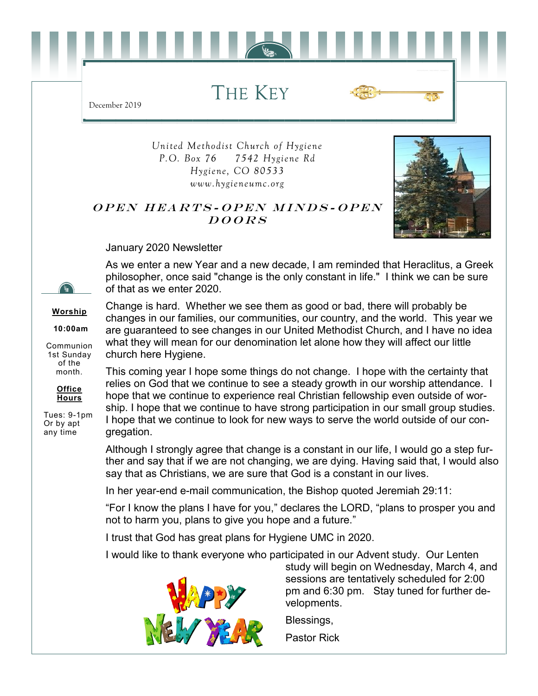THE KEY



*United Methodist Church of Hygiene P.O. Box 76 7542 Hygiene Rd Hygiene, CO 80533 www.hygieneumc.org*

## OPEN HEARTS-OPEN MINDS-OPEN  $DOORS$



January 2020 Newsletter

December 2019

As we enter a new Year and a new decade, I am reminded that Heraclitus, a Greek philosopher, once said "change is the only constant in life." I think we can be sure of that as we enter 2020.

**Worship**

**10:00am**

Communion 1st Sunday of the month.



Tues: 9-1pm Or by apt any time

Change is hard. Whether we see them as good or bad, there will probably be changes in our families, our communities, our country, and the world. This year we are guaranteed to see changes in our United Methodist Church, and I have no idea what they will mean for our denomination let alone how they will affect our little church here Hygiene.

This coming year I hope some things do not change. I hope with the certainty that relies on God that we continue to see a steady growth in our worship attendance. I hope that we continue to experience real Christian fellowship even outside of worship. I hope that we continue to have strong participation in our small group studies. I hope that we continue to look for new ways to serve the world outside of our congregation.

Although I strongly agree that change is a constant in our life, I would go a step further and say that if we are not changing, we are dying. Having said that, I would also say that as Christians, we are sure that God is a constant in our lives.

In her year-end e-mail communication, the Bishop quoted Jeremiah 29:11:

"For I know the plans I have for you," declares the LORD, "plans to prosper you and not to harm you, plans to give you hope and a future."

I trust that God has great plans for Hygiene UMC in 2020.

I would like to thank everyone who participated in our Advent study. Our Lenten



study will begin on Wednesday, March 4, and sessions are tentatively scheduled for 2:00 pm and 6:30 pm. Stay tuned for further developments.

Blessings,

Pastor Rick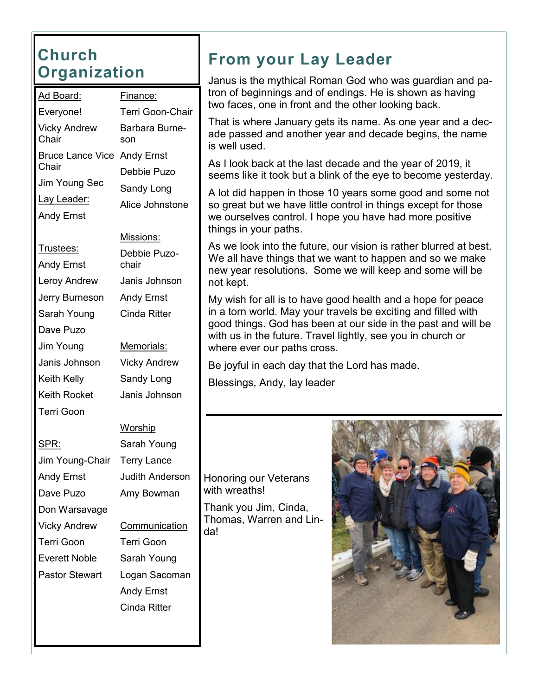#### **Church Organization**

| <u> Ad Board:</u>            | <u>Finance:</u>         |  |  |
|------------------------------|-------------------------|--|--|
| Everyone!                    | <b>Terri Goon-Chair</b> |  |  |
| <b>Vicky Andrew</b><br>Chair | Barbara Burne-<br>son   |  |  |
| <b>Bruce Lance Vice</b>      | <b>Andy Ernst</b>       |  |  |
| Chair                        | Debbie Puzo             |  |  |
| Jim Young Sec                | Sandy Long              |  |  |
| <u>Lay Leader:</u>           | Alice Johnstone         |  |  |
| <b>Andy Ernst</b>            |                         |  |  |
|                              | Missions:               |  |  |
| <u>Trustees:</u>             | Debbie Puzo-            |  |  |
| <b>Andy Ernst</b>            | chair                   |  |  |
| Leroy Andrew                 | Janis Johnson           |  |  |
| Jerry Burneson               | <b>Andy Ernst</b>       |  |  |
| Sarah Young                  | Cinda Ritter            |  |  |
| Dave Puzo                    |                         |  |  |
| Jim Young                    | Memorials:              |  |  |
| Janis Johnson                | <b>Vicky Andrew</b>     |  |  |
| Keith Kelly                  | Sandy Long              |  |  |
| Keith Rocket                 | Janis Johnson           |  |  |
| Terri Goon                   |                         |  |  |
|                              | <b>Worship</b>          |  |  |
| SPR:                         | Sarah Young             |  |  |
| Jim Young-Chair              | <b>Terry Lance</b>      |  |  |
| Andy Ernst                   | <b>Judith Anderson</b>  |  |  |
| Dave Puzo                    | Amy Bowman              |  |  |
| Don Warsavage                |                         |  |  |
| Vicky Andrew                 | Communication           |  |  |
| Terri Goon                   | <b>Terri Goon</b>       |  |  |
| Everett Noble                | Sarah Young             |  |  |
| <b>Pastor Stewart</b>        | Logan Sacoman           |  |  |
|                              | <b>Andy Ernst</b>       |  |  |
|                              | <b>Cinda Ritter</b>     |  |  |
|                              |                         |  |  |

#### **From your Lay Leader**

Janus is the mythical Roman God who was guardian and patron of beginnings and of endings. He is shown as having two faces, one in front and the other looking back.

That is where January gets its name. As one year and a decade passed and another year and decade begins, the name is well used.

As I look back at the last decade and the year of 2019, it seems like it took but a blink of the eye to become yesterday.

A lot did happen in those 10 years some good and some not so great but we have little control in things except for those we ourselves control. I hope you have had more positive things in your paths.

As we look into the future, our vision is rather blurred at best. We all have things that we want to happen and so we make new year resolutions. Some we will keep and some will be not kept.

My wish for all is to have good health and a hope for peace in a torn world. May your travels be exciting and filled with good things. God has been at our side in the past and will be with us in the future. Travel lightly, see you in church or where ever our paths cross.

Be joyful in each day that the Lord has made.

Blessings, Andy, lay leader

#### Honoring our Veterans with wreaths!

Thank you Jim, Cinda, Thomas, Warren and Linda!

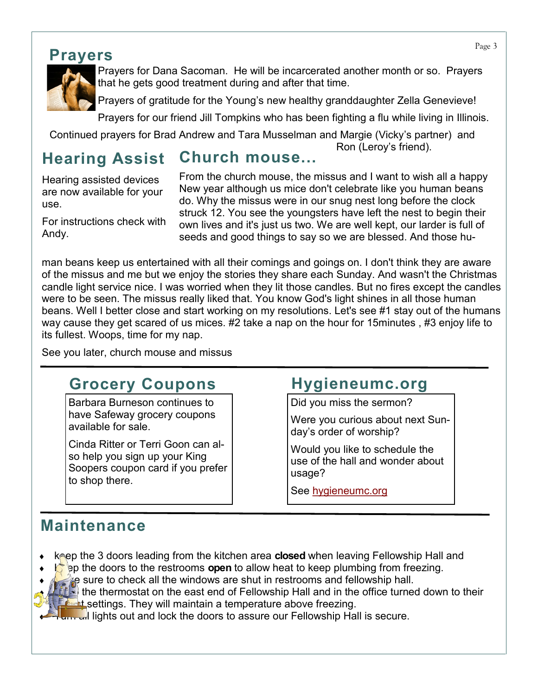#### **Prayers**



Prayers for Dana Sacoman. He will be incarcerated another month or so. Prayers that he gets good treatment during and after that time.

Prayers of gratitude for the Young's new healthy granddaughter Zella Genevieve!

Prayers for our friend Jill Tompkins who has been fighting a flu while living in Illinois.

Continued prayers for Brad Andrew and Tara Musselman and Margie (Vicky's partner) and Ron (Leroy's friend).

#### **Hearing Assist Church mouse...**

Hearing assisted devices are now available for your use.

For instructions check with Andy.

From the church mouse, the missus and I want to wish all a happy New year although us mice don't celebrate like you human beans do. Why the missus were in our snug nest long before the clock struck 12. You see the youngsters have left the nest to begin their own lives and it's just us two. We are well kept, our larder is full of seeds and good things to say so we are blessed. And those hu-

man beans keep us entertained with all their comings and goings on. I don't think they are aware of the missus and me but we enjoy the stories they share each Sunday. And wasn't the Christmas candle light service nice. I was worried when they lit those candles. But no fires except the candles were to be seen. The missus really liked that. You know God's light shines in all those human beans. Well I better close and start working on my resolutions. Let's see #1 stay out of the humans way cause they get scared of us mices. #2 take a nap on the hour for 15minutes , #3 enjoy life to its fullest. Woops, time for my nap.

See you later, church mouse and missus

#### **Grocery Coupons**

Barbara Burneson continues to have Safeway grocery coupons available for sale.

Cinda Ritter or Terri Goon can also help you sign up your King Soopers coupon card if you prefer to shop there.

#### **Hygieneumc.org**

Did you miss the sermon?

Were you curious about next Sunday's order of worship?

Would you like to schedule the use of the hall and wonder about usage?

See [hygieneumc.org](https://www.hygieneumc.org/)

### **Maintenance**

- keep the 3 doors leading from the kitchen area **closed** when leaving Fellowship Hall and
- **E** ep the doors to the restrooms **open** to allow heat to keep plumbing from freezing.
- $\mathbb{R}$  sure to check all the windows are shut in restrooms and fellowship hall.
	- $\ddot{\cdot}$  the thermostat on the east end of Fellowship Hall and in the office turned down to their **Lowest settings. They will maintain a temperature above freezing.**

**Turn all lights out and lock the doors to assure our Fellowship Hall is secure.**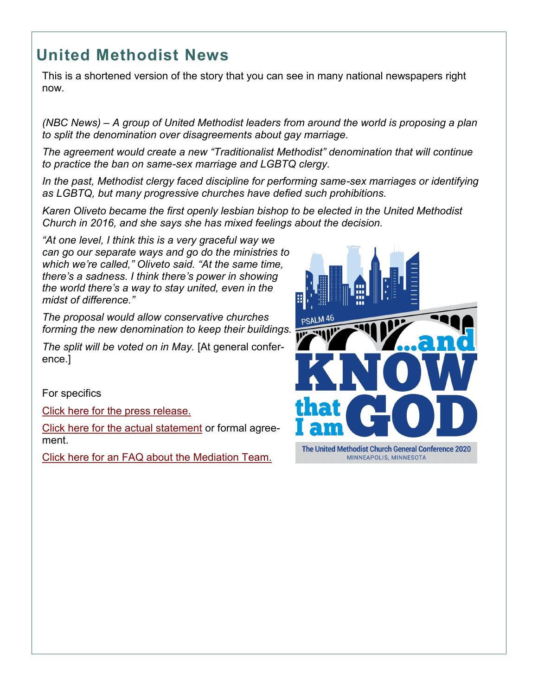## **United Methodist News**

This is a shortened version of the story that you can see in many national newspapers right now.

*(NBC News) – A group of United Methodist leaders from around the world is proposing a plan to split the denomination over disagreements about gay marriage.*

*The agreement would create a new "Traditionalist Methodist" denomination that will continue to practice the ban on same-sex marriage and LGBTQ clergy.*

*In the past, Methodist clergy faced discipline for performing same-sex marriages or identifying as LGBTQ, but many progressive churches have defied such prohibitions.*

*Karen Oliveto became the first openly lesbian bishop to be elected in the United Methodist Church in 2016, and she says she has mixed feelings about the decision.*

*"At one level, I think this is a very graceful way we can go our separate ways and go do the ministries to which we're called," Oliveto said. "At the same time, there's a sadness. I think there's power in showing the world there's a way to stay united, even in the midst of difference."*

*The proposal would allow conservative churches forming the new denomination to keep their buildings.*

*The split will be voted on in May.* [At general conference.]

For specifics

[Click here for the press release.](https://www.unitedmethodistbishops.org/newsdetail/united-methodist-traditionalists-centrists-progressives-bishops-sign-agreement-aimed-at-separation-13133654)

[Click here for the actual statement](https://www.unitedmethodistbishops.org/files/websites/www/pdfs/signed+umc+mediation+protocoal+statement+-2020.pdf) or formal agreement.

[Click here for an FAQ about the Mediation Team.](https://www.unitedmethodistbishops.org/newsdetail/frequently-asked-questions-about-the-united-methodist-mediation-team-13133711)



The United Methodist Church General Conference 2020 MINNEAPOLIS, MINNESOTA